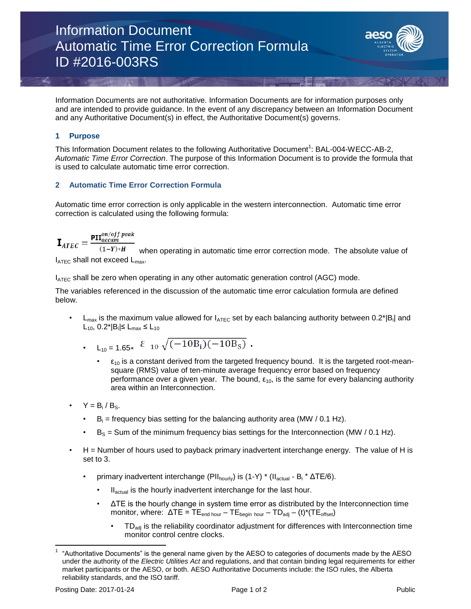

Information Documents are not authoritative. Information Documents are for information purposes only and are intended to provide guidance. In the event of any discrepancy between an Information Document and any Authoritative Document(s) in effect, the Authoritative Document(s) governs.

## **1 Purpose**

This Information Document relates to the following Authoritative Document<sup>1</sup>: BAL-004-WECC-AB-2, *Automatic Time Error Correction*. The purpose of this Information Document is to provide the formula that is used to calculate automatic time error correction.

## **2 Automatic Time Error Correction Formula**

Automatic time error correction is only applicable in the western interconnection. Automatic time error correction is calculated using the following formula:

$$
\mathbf{T}_{\text{trunc}} = \frac{\mathbf{PII}_{\text{accum}}^{\text{on}/\text{off peak}}}{}
$$

 $-ATEC$  $(1 - Y) * H$ when operating in automatic time error correction mode. The absolute value of  $I_{\text{ATEC}}$  shall not exceed  $L_{\text{max}}$ .

 $I_{\text{ATEC}}$  shall be zero when operating in any other automatic generation control (AGC) mode.

The variables referenced in the discussion of the automatic time error calculation formula are defined below.

• L<sub>max</sub> is the maximum value allowed for  $I_{\text{ATEC}}$  set by each balancing authority between 0.2\*|B<sub>i</sub>| and L<sub>10</sub>, 0.2\*|B<sub>i</sub>|≤ L<sub>max</sub> ≤ L<sub>10</sub>

• 
$$
L_{10} = 1.65 \times \begin{cases} 2 & \text{if } 10 \sqrt{(-10B_i)(-10B_S)} \end{cases}
$$

- $\cdot$   $\varepsilon_{10}$  is a constant derived from the targeted frequency bound. It is the targeted root-meansquare (RMS) value of ten-minute average frequency error based on frequency performance over a given year. The bound,  $\varepsilon_{10}$ , is the same for every balancing authority area within an Interconnection.
- $Y = B_i / B_S$ .
	- $\cdot$  B<sub>i</sub> = frequency bias setting for the balancing authority area (MW / 0.1 Hz).
	- $B<sub>S</sub>$  = Sum of the minimum frequency bias settings for the Interconnection (MW / 0.1 Hz).
- H = Number of hours used to payback primary inadvertent interchange energy. The value of H is set to 3.
	- primary inadvertent interchange (PII<sub>hourly</sub>) is (1-Y) \* (II<sub>actual</sub> B<sub>i</sub> \*  $\Delta TE/6$ ).
		- Il<sub>actual</sub> is the hourly inadvertent interchange for the last hour.
		- ΔTE is the hourly change in system time error as distributed by the Interconnection time monitor, where:  $\Delta TE = TE_{\text{end hour}} - TE_{\text{begin hour}} - TD_{\text{adj}} - (t)^*(TE_{\text{offset}})$ 
			- TD<sub>adj</sub> is the reliability coordinator adjustment for differences with Interconnection time monitor control centre clocks.

 $\overline{\phantom{a}}$ 

<sup>1</sup> "Authoritative Documents" is the general name given by the AESO to categories of documents made by the AESO under the authority of the *Electric Utilities Act* and regulations, and that contain binding legal requirements for either market participants or the AESO, or both. AESO Authoritative Documents include: the ISO rules, the Alberta reliability standards, and the ISO tariff.